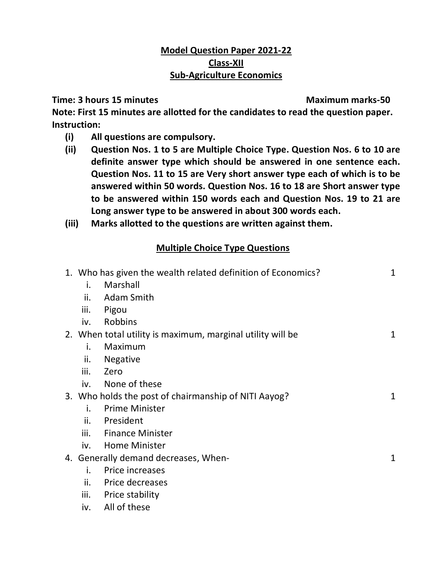## **Model Question Paper 2021-22 Class-XII Sub-Agriculture Economics**

**Time: 3 hours 15 minutes Maximum marks-50** 

**Note: First 15 minutes are allotted for the candidates to read the question paper. Instruction:** 

- **(i) All questions are compulsory.**
- **(ii) Question Nos. 1 to 5 are Multiple Choice Type. Question Nos. 6 to 10 are definite answer type which should be answered in one sentence each. Question Nos. 11 to 15 are Very short answer type each of which is to be answered within 50 words. Question Nos. 16 to 18 are Short answer type to be answered within 150 words each and Question Nos. 19 to 21 are Long answer type to be answered in about 300 words each.**
- **(iii) Marks allotted to the questions are written against them.**

## **Multiple Choice Type Questions**

|      | 1. Who has given the wealth related definition of Economics? | $\mathbf{1}$ |
|------|--------------------------------------------------------------|--------------|
| i.   | Marshall                                                     |              |
| ii.  | Adam Smith                                                   |              |
| iii. | Pigou                                                        |              |
| iv.  | Robbins                                                      |              |
|      | 2. When total utility is maximum, marginal utility will be   | 1            |
| i.   | Maximum                                                      |              |
| ii.  | <b>Negative</b>                                              |              |
| iii. | Zero                                                         |              |
| iv.  | None of these                                                |              |
|      | 3. Who holds the post of chairmanship of NITI Aayog?         | 1            |
| i.   | <b>Prime Minister</b>                                        |              |
| ii.  | President                                                    |              |
| iii. | <b>Finance Minister</b>                                      |              |
| iv.  | <b>Home Minister</b>                                         |              |
|      | 4. Generally demand decreases, When-                         | 1            |
| i.   | Price increases                                              |              |
| ii.  | Price decreases                                              |              |
| iii. | <b>Price stability</b>                                       |              |
| iv.  | All of these                                                 |              |